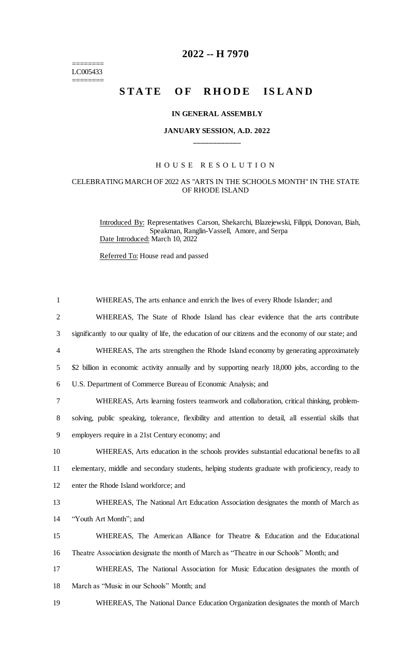======== LC005433 ========

# **2022 -- H 7970**

# STATE OF RHODE ISLAND

### **IN GENERAL ASSEMBLY**

# **JANUARY SESSION, A.D. 2022 \_\_\_\_\_\_\_\_\_\_\_\_**

## H O U S E R E S O L U T I O N

### CELEBRATING MARCH OF 2022 AS "ARTS IN THE SCHOOLS MONTH" IN THE STATE OF RHODE ISLAND

Introduced By: Representatives Carson, Shekarchi, Blazejewski, Filippi, Donovan, Biah, Speakman, Ranglin-Vassell, Amore, and Serpa Date Introduced: March 10, 2022

Referred To: House read and passed

| $\mathbf{1}$   | WHEREAS, The arts enhance and enrich the lives of every Rhode Islander; and                           |
|----------------|-------------------------------------------------------------------------------------------------------|
| $\overline{2}$ | WHEREAS, The State of Rhode Island has clear evidence that the arts contribute                        |
| 3              | significantly to our quality of life, the education of our citizens and the economy of our state; and |
| $\overline{4}$ | WHEREAS, The arts strengthen the Rhode Island economy by generating approximately                     |
| 5              | \$2 billion in economic activity annually and by supporting nearly 18,000 jobs, according to the      |
| 6              | U.S. Department of Commerce Bureau of Economic Analysis; and                                          |
| 7              | WHEREAS, Arts learning fosters teamwork and collaboration, critical thinking, problem-                |
| 8              | solving, public speaking, tolerance, flexibility and attention to detail, all essential skills that   |
| 9              | employers require in a 21st Century economy; and                                                      |
| 10             | WHEREAS, Arts education in the schools provides substantial educational benefits to all               |
| 11             | elementary, middle and secondary students, helping students graduate with proficiency, ready to       |
| 12             | enter the Rhode Island workforce; and                                                                 |
| 13             | WHEREAS, The National Art Education Association designates the month of March as                      |
| 14             | "Youth Art Month"; and                                                                                |
| 15             | WHEREAS, The American Alliance for Theatre & Education and the Educational                            |
| 16             | Theatre Association designate the month of March as "Theatre in our Schools" Month; and               |
| 17             | WHEREAS, The National Association for Music Education designates the month of                         |
| 18             | March as "Music in our Schools" Month; and                                                            |
| 19             | WHEREAS, The National Dance Education Organization designates the month of March                      |